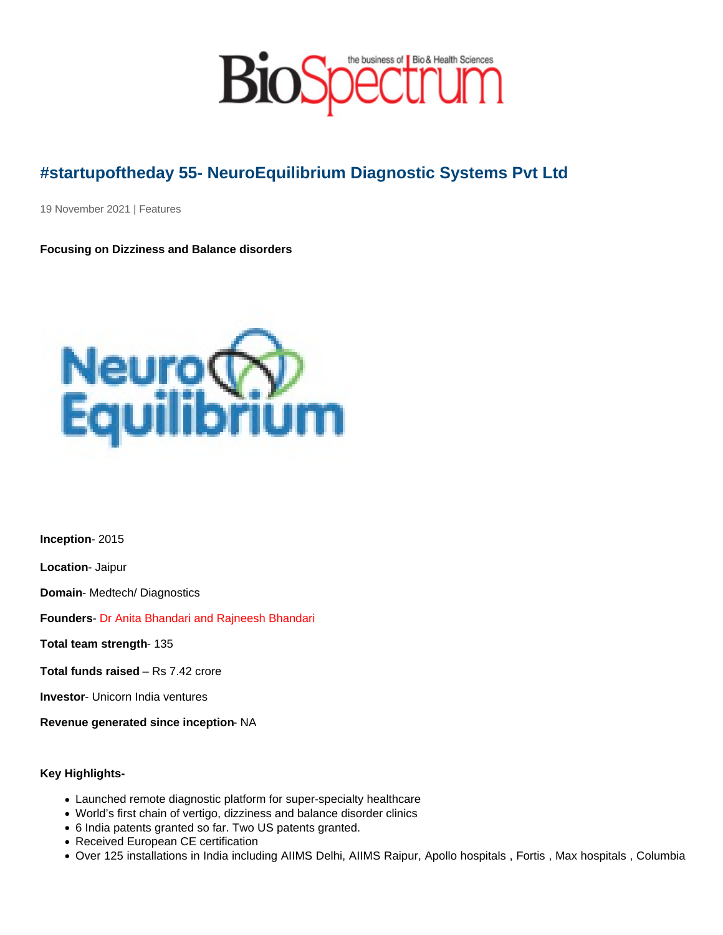## #startupoftheday 55- NeuroEquilibrium Diagnostic Systems Pvt Ltd

19 November 2021 | Features

Focusing on Dizziness and Balance disorders

Inception - 2015

Location - Jaipur

Domain - Medtech/ Diagnostics

Founders - Dr Anita Bhandari and Rajneesh Bhandari

Total team strength - 135

Total funds raised – Rs 7.42 crore

Investor - Unicorn India ventures

Revenue generated since inception - NA

Key Highlights-

- Launched remote diagnostic platform for super-specialty healthcare
- World's first chain of vertigo, dizziness and balance disorder clinics
- 6 India patents granted so far. Two US patents granted.
- Received European CE certification
- Over 125 installations in India including AIIMS Delhi, AIIMS Raipur, Apollo hospitals , Fortis , Max hospitals , Columbia